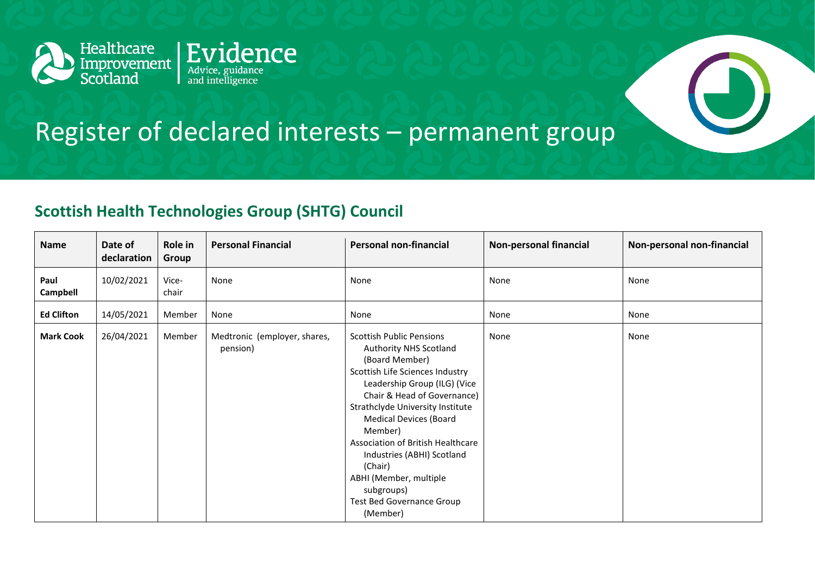

## Register of declared interests – permanent group

## **Scottish Health Technologies Group (SHTG) Council**

| <b>Name</b>             | Date of<br>declaration | Role in<br>Group | <b>Personal Financial</b>                | <b>Personal non-financial</b>                                                                                                                                                                                                                                                                                                                                                                                                       | <b>Non-personal financial</b> | Non-personal non-financial |
|-------------------------|------------------------|------------------|------------------------------------------|-------------------------------------------------------------------------------------------------------------------------------------------------------------------------------------------------------------------------------------------------------------------------------------------------------------------------------------------------------------------------------------------------------------------------------------|-------------------------------|----------------------------|
| Paul<br><b>Campbell</b> | 10/02/2021             | Vice-<br>chair   | None                                     | None                                                                                                                                                                                                                                                                                                                                                                                                                                | None                          | None                       |
| <b>Ed Clifton</b>       | 14/05/2021             | Member           | None                                     | None                                                                                                                                                                                                                                                                                                                                                                                                                                | None                          | None                       |
| <b>Mark Cook</b>        | 26/04/2021             | Member           | Medtronic (employer, shares,<br>pension) | <b>Scottish Public Pensions</b><br>Authority NHS Scotland<br>(Board Member)<br>Scottish Life Sciences Industry<br>Leadership Group (ILG) (Vice<br>Chair & Head of Governance)<br>Strathclyde University Institute<br><b>Medical Devices (Board</b><br>Member)<br>Association of British Healthcare<br>Industries (ABHI) Scotland<br>(Chair)<br>ABHI (Member, multiple<br>subgroups)<br><b>Test Bed Governance Group</b><br>(Member) | None                          | None                       |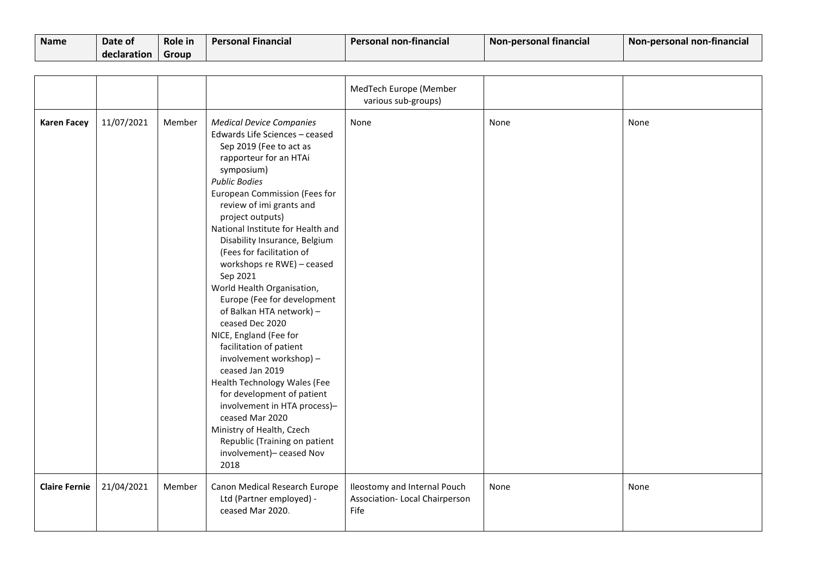| <b>Name</b> | Date of     | Role in | <b>Personal Financial</b> | Personal non-financial | Non-personal financial | Non-personal non-financial |
|-------------|-------------|---------|---------------------------|------------------------|------------------------|----------------------------|
|             | declaration | Group   |                           |                        |                        |                            |

|                      |            |        |                                                                                                                                                                                                                                                                                                                                                                                                                                                                                                                                                                                                                                                                                                                                                                                                                              | MedTech Europe (Member<br>various sub-groups)                         |      |      |
|----------------------|------------|--------|------------------------------------------------------------------------------------------------------------------------------------------------------------------------------------------------------------------------------------------------------------------------------------------------------------------------------------------------------------------------------------------------------------------------------------------------------------------------------------------------------------------------------------------------------------------------------------------------------------------------------------------------------------------------------------------------------------------------------------------------------------------------------------------------------------------------------|-----------------------------------------------------------------------|------|------|
| <b>Karen Facey</b>   | 11/07/2021 | Member | <b>Medical Device Companies</b><br>Edwards Life Sciences - ceased<br>Sep 2019 (Fee to act as<br>rapporteur for an HTAi<br>symposium)<br><b>Public Bodies</b><br>European Commission (Fees for<br>review of imi grants and<br>project outputs)<br>National Institute for Health and<br>Disability Insurance, Belgium<br>(Fees for facilitation of<br>workshops re RWE) - ceased<br>Sep 2021<br>World Health Organisation,<br>Europe (Fee for development<br>of Balkan HTA network) -<br>ceased Dec 2020<br>NICE, England (Fee for<br>facilitation of patient<br>involvement workshop) -<br>ceased Jan 2019<br>Health Technology Wales (Fee<br>for development of patient<br>involvement in HTA process)-<br>ceased Mar 2020<br>Ministry of Health, Czech<br>Republic (Training on patient<br>involvement)- ceased Nov<br>2018 | None                                                                  | None | None |
| <b>Claire Fernie</b> | 21/04/2021 | Member | Canon Medical Research Europe<br>Ltd (Partner employed) -<br>ceased Mar 2020.                                                                                                                                                                                                                                                                                                                                                                                                                                                                                                                                                                                                                                                                                                                                                | Ileostomy and Internal Pouch<br>Association-Local Chairperson<br>Fife | None | None |